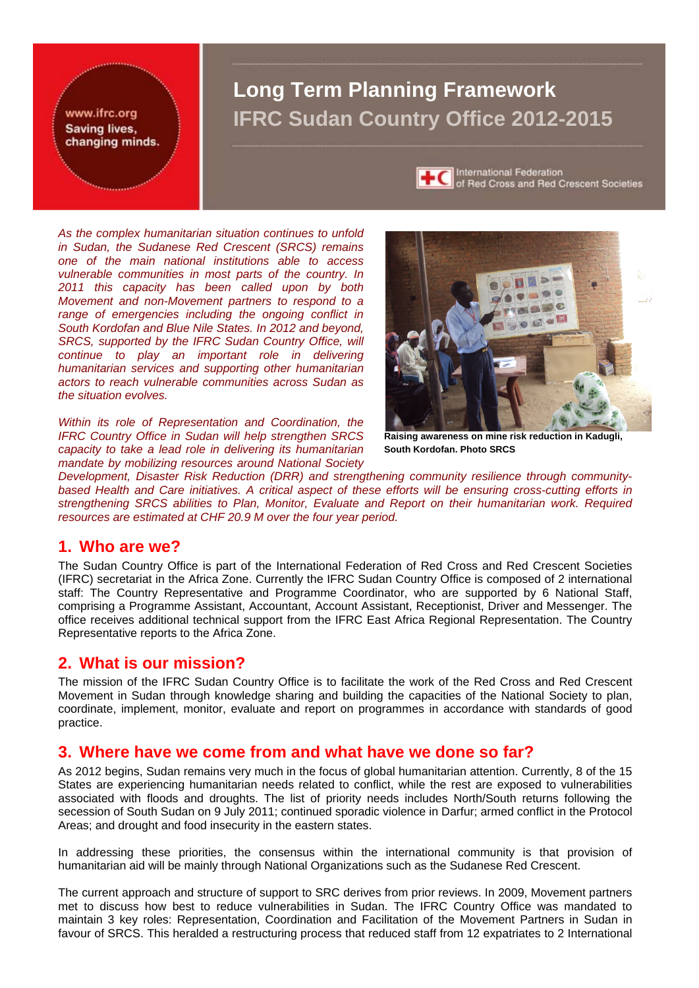www.ifrc.org Saving lives. changing minds.

# **Long Term Planning Framework IFRC Sudan Country Office 2012-2015**



International Federation<br>of Red Cross and Red Crescent Societies

*As the complex humanitarian situation continues to unfold in Sudan, the Sudanese Red Crescent (SRCS) remains one of the main national institutions able to access vulnerable communities in most parts of the country. In 2011 this capacity has been called upon by both Movement and non-Movement partners to respond to a range of emergencies including the ongoing conflict in South Kordofan and Blue Nile States. In 2012 and beyond,*  **SRCS, supported by the IFRC Sudan Country Office, will** *continue to play an important role in delivering humanitarian services and supporting other humanitarian actors to reach vulnerable communities across Sudan as the situation evolves.* 

*Within its role of Representation and Coordination, the IFRC Country Office in Sudan will help strengthen SRCS capacity to take a lead role in delivering its humanitarian mandate by mobilizing resources around National Society* 



**Raising awareness on mine risk reduction in Kadugli, South Kordofan. Photo SRCS**

*Development, Disaster Risk Reduction (DRR) and strengthening community resilience through communitybased Health and Care initiatives. A critical aspect of these efforts will be ensuring cross-cutting efforts in strengthening SRCS abilities to Plan, Monitor, Evaluate and Report on their humanitarian work. Required resources are estimated at CHF 20.9 M over the four year period.* 

### **1. Who are we?**

The Sudan Country Office is part of the International Federation of Red Cross and Red Crescent Societies (IFRC) secretariat in the Africa Zone. Currently the IFRC Sudan Country Office is composed of 2 international staff: The Country Representative and Programme Coordinator, who are supported by 6 National Staff, comprising a Programme Assistant, Accountant, Account Assistant, Receptionist, Driver and Messenger. The office receives additional technical support from the IFRC East Africa Regional Representation. The Country Representative reports to the Africa Zone.

### **2. What is our mission?**

The mission of the IFRC Sudan Country Office is to facilitate the work of the Red Cross and Red Crescent Movement in Sudan through knowledge sharing and building the capacities of the National Society to plan, coordinate, implement, monitor, evaluate and report on programmes in accordance with standards of good practice.

### **3. Where have we come from and what have we done so far?**

As 2012 begins, Sudan remains very much in the focus of global humanitarian attention. Currently, 8 of the 15 States are experiencing humanitarian needs related to conflict, while the rest are exposed to vulnerabilities associated with floods and droughts. The list of priority needs includes North/South returns following the secession of South Sudan on 9 July 2011; continued sporadic violence in Darfur; armed conflict in the Protocol Areas; and drought and food insecurity in the eastern states.

In addressing these priorities, the consensus within the international community is that provision of humanitarian aid will be mainly through National Organizations such as the Sudanese Red Crescent.

The current approach and structure of support to SRC derives from prior reviews. In 2009, Movement partners met to discuss how best to reduce vulnerabilities in Sudan. The IFRC Country Office was mandated to maintain 3 key roles: Representation, Coordination and Facilitation of the Movement Partners in Sudan in favour of SRCS. This heralded a restructuring process that reduced staff from 12 expatriates to 2 International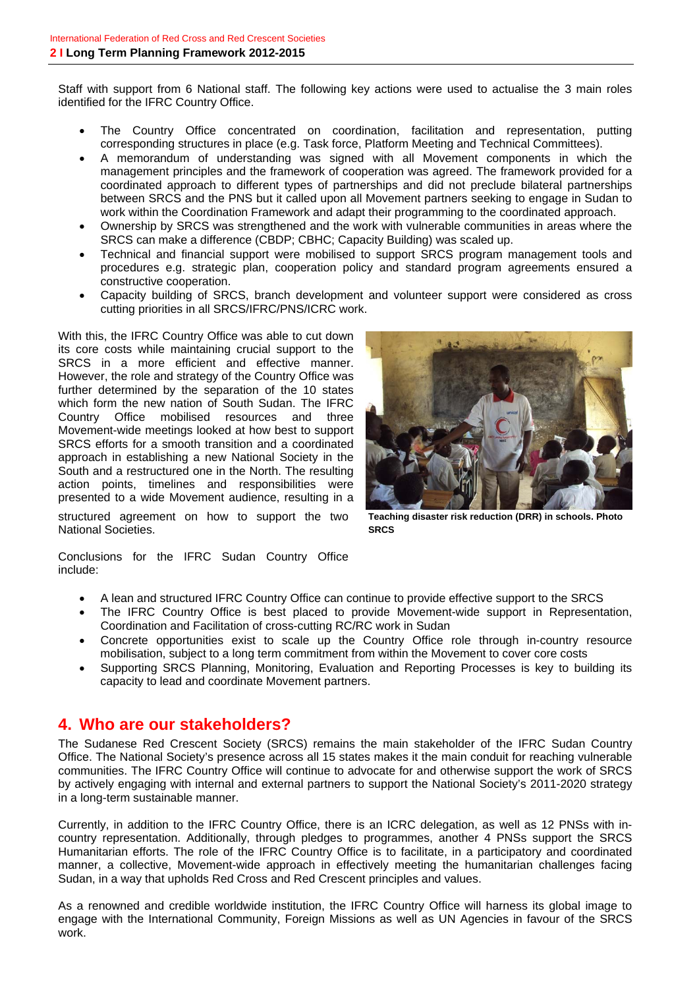Staff with support from 6 National staff. The following key actions were used to actualise the 3 main roles identified for the IFRC Country Office.

- The Country Office concentrated on coordination, facilitation and representation, putting corresponding structures in place (e.g. Task force, Platform Meeting and Technical Committees).
- A memorandum of understanding was signed with all Movement components in which the management principles and the framework of cooperation was agreed. The framework provided for a coordinated approach to different types of partnerships and did not preclude bilateral partnerships between SRCS and the PNS but it called upon all Movement partners seeking to engage in Sudan to work within the Coordination Framework and adapt their programming to the coordinated approach.
- Ownership by SRCS was strengthened and the work with vulnerable communities in areas where the SRCS can make a difference (CBDP; CBHC; Capacity Building) was scaled up.
- Technical and financial support were mobilised to support SRCS program management tools and procedures e.g. strategic plan, cooperation policy and standard program agreements ensured a constructive cooperation.
- Capacity building of SRCS, branch development and volunteer support were considered as cross cutting priorities in all SRCS/IFRC/PNS/ICRC work.

With this, the IFRC Country Office was able to cut down its core costs while maintaining crucial support to the SRCS in a more efficient and effective manner. However, the role and strategy of the Country Office was further determined by the separation of the 10 states which form the new nation of South Sudan. The IFRC Country Office mobilised resources and three Movement-wide meetings looked at how best to support SRCS efforts for a smooth transition and a coordinated approach in establishing a new National Society in the South and a restructured one in the North. The resulting action points, timelines and responsibilities were presented to a wide Movement audience, resulting in a

structured agreement on how to support the two National Societies.



**Teaching disaster risk reduction (DRR) in schools. Photo SRCS**

Conclusions for the IFRC Sudan Country Office include:

- A lean and structured IFRC Country Office can continue to provide effective support to the SRCS
- The IFRC Country Office is best placed to provide Movement-wide support in Representation, Coordination and Facilitation of cross-cutting RC/RC work in Sudan
- Concrete opportunities exist to scale up the Country Office role through in-country resource mobilisation, subject to a long term commitment from within the Movement to cover core costs
- Supporting SRCS Planning, Monitoring, Evaluation and Reporting Processes is key to building its capacity to lead and coordinate Movement partners.

### **4. Who are our stakeholders?**

The Sudanese Red Crescent Society (SRCS) remains the main stakeholder of the IFRC Sudan Country Office. The National Society's presence across all 15 states makes it the main conduit for reaching vulnerable communities. The IFRC Country Office will continue to advocate for and otherwise support the work of SRCS by actively engaging with internal and external partners to support the National Society's 2011-2020 strategy in a long-term sustainable manner.

Currently, in addition to the IFRC Country Office, there is an ICRC delegation, as well as 12 PNSs with incountry representation. Additionally, through pledges to programmes, another 4 PNSs support the SRCS Humanitarian efforts. The role of the IFRC Country Office is to facilitate, in a participatory and coordinated manner, a collective, Movement-wide approach in effectively meeting the humanitarian challenges facing Sudan, in a way that upholds Red Cross and Red Crescent principles and values.

As a renowned and credible worldwide institution, the IFRC Country Office will harness its global image to engage with the International Community, Foreign Missions as well as UN Agencies in favour of the SRCS work.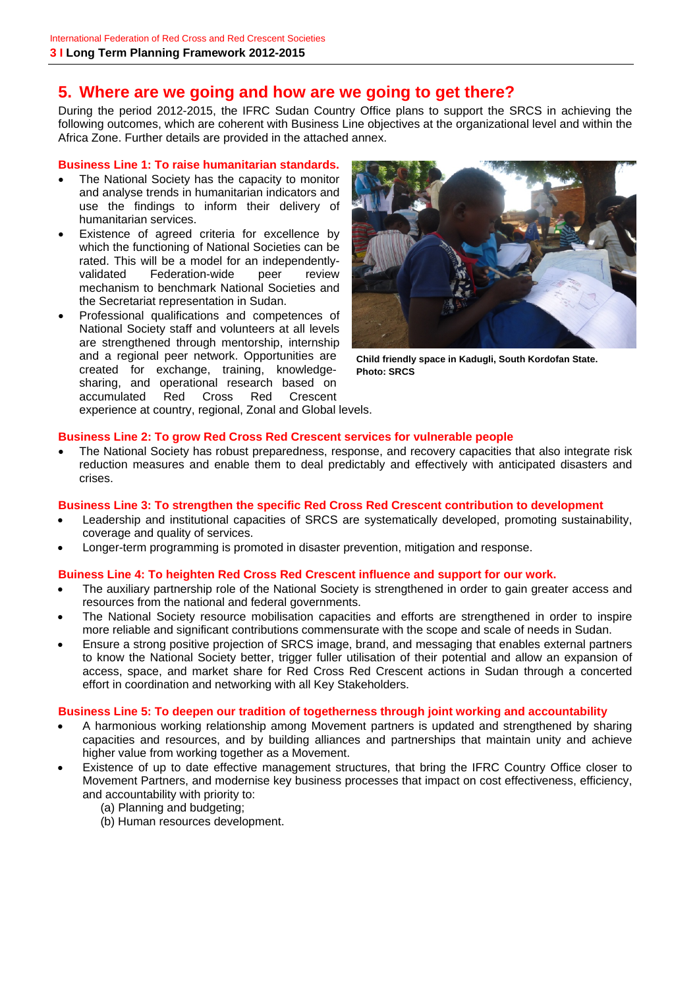### **5. Where are we going and how are we going to get there?**

During the period 2012-2015, the IFRC Sudan Country Office plans to support the SRCS in achieving the following outcomes, which are coherent with Business Line objectives at the organizational level and within the Africa Zone. Further details are provided in the attached annex.

#### **Business Line 1: To raise humanitarian standards.**

- The National Society has the capacity to monitor and analyse trends in humanitarian indicators and use the findings to inform their delivery of humanitarian services.
- Existence of agreed criteria for excellence by which the functioning of National Societies can be rated. This will be a model for an independentlyvalidated Federation-wide peer review mechanism to benchmark National Societies and the Secretariat representation in Sudan.
- Professional qualifications and competences of National Society staff and volunteers at all levels are strengthened through mentorship, internship and a regional peer network. Opportunities are created for exchange, training, knowledgesharing, and operational research based on accumulated Red Cross Red Crescent experience at country, regional, Zonal and Global levels.



**Child friendly space in Kadugli, South Kordofan State. Photo: SRCS** 

#### **Business Line 2: To grow Red Cross Red Crescent services for vulnerable people**

• The National Society has robust preparedness, response, and recovery capacities that also integrate risk reduction measures and enable them to deal predictably and effectively with anticipated disasters and crises.

#### **Business Line 3: To strengthen the specific Red Cross Red Crescent contribution to development**

- Leadership and institutional capacities of SRCS are systematically developed, promoting sustainability, coverage and quality of services.
- Longer-term programming is promoted in disaster prevention, mitigation and response.

#### **Buiness Line 4: To heighten Red Cross Red Crescent influence and support for our work.**

- The auxiliary partnership role of the National Society is strengthened in order to gain greater access and resources from the national and federal governments.
- The National Society resource mobilisation capacities and efforts are strengthened in order to inspire more reliable and significant contributions commensurate with the scope and scale of needs in Sudan.
- Ensure a strong positive projection of SRCS image, brand, and messaging that enables external partners to know the National Society better, trigger fuller utilisation of their potential and allow an expansion of access, space, and market share for Red Cross Red Crescent actions in Sudan through a concerted effort in coordination and networking with all Key Stakeholders.

#### **Business Line 5: To deepen our tradition of togetherness through joint working and accountability**

- A harmonious working relationship among Movement partners is updated and strengthened by sharing capacities and resources, and by building alliances and partnerships that maintain unity and achieve higher value from working together as a Movement.
- Existence of up to date effective management structures, that bring the IFRC Country Office closer to Movement Partners, and modernise key business processes that impact on cost effectiveness, efficiency, and accountability with priority to:
	- (a) Planning and budgeting;
	- (b) Human resources development.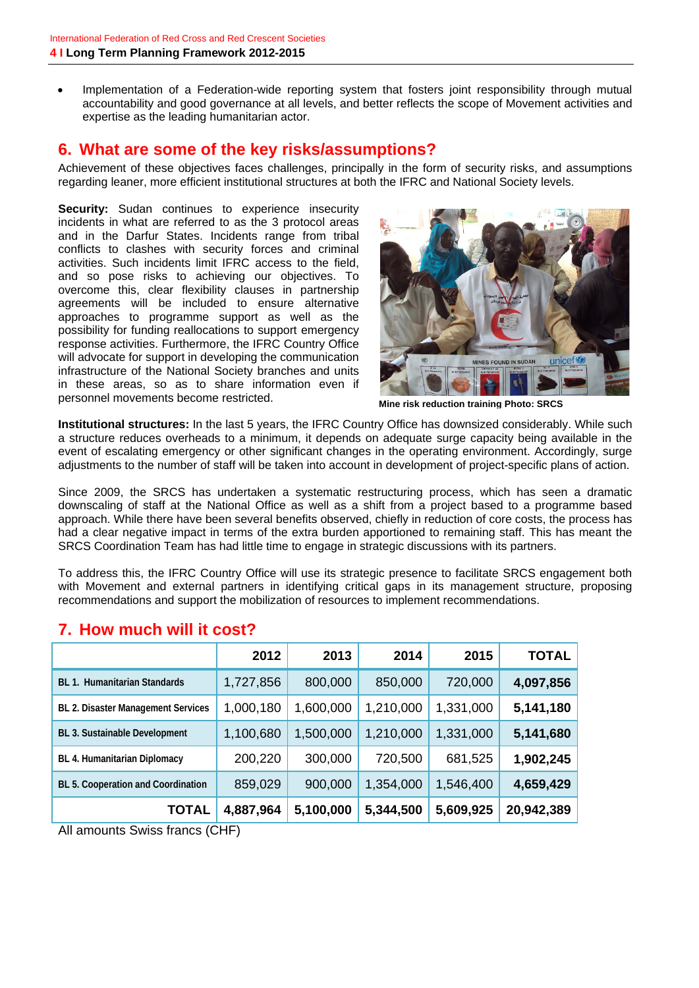Implementation of a Federation-wide reporting system that fosters joint responsibility through mutual accountability and good governance at all levels, and better reflects the scope of Movement activities and expertise as the leading humanitarian actor.

### **6. What are some of the key risks/assumptions?**

Achievement of these objectives faces challenges, principally in the form of security risks, and assumptions regarding leaner, more efficient institutional structures at both the IFRC and National Society levels.

**Security:** Sudan continues to experience insecurity incidents in what are referred to as the 3 protocol areas and in the Darfur States. Incidents range from tribal conflicts to clashes with security forces and criminal activities. Such incidents limit IFRC access to the field, and so pose risks to achieving our objectives. To overcome this, clear flexibility clauses in partnership agreements will be included to ensure alternative approaches to programme support as well as the possibility for funding reallocations to support emergency response activities. Furthermore, the IFRC Country Office will advocate for support in developing the communication infrastructure of the National Society branches and units in these areas, so as to share information even if personnel movements become restricted.<br>**Mine risk reduction training Photo: SRCS** 



**Institutional structures:** In the last 5 years, the IFRC Country Office has downsized considerably. While such a structure reduces overheads to a minimum, it depends on adequate surge capacity being available in the event of escalating emergency or other significant changes in the operating environment. Accordingly, surge adjustments to the number of staff will be taken into account in development of project-specific plans of action.

Since 2009, the SRCS has undertaken a systematic restructuring process, which has seen a dramatic downscaling of staff at the National Office as well as a shift from a project based to a programme based approach. While there have been several benefits observed, chiefly in reduction of core costs, the process has had a clear negative impact in terms of the extra burden apportioned to remaining staff. This has meant the SRCS Coordination Team has had little time to engage in strategic discussions with its partners.

To address this, the IFRC Country Office will use its strategic presence to facilitate SRCS engagement both with Movement and external partners in identifying critical gaps in its management structure, proposing recommendations and support the mobilization of resources to implement recommendations.

|                                           | 2012      | 2013      | 2014      | 2015      | <b>TOTAL</b> |
|-------------------------------------------|-----------|-----------|-----------|-----------|--------------|
| <b>BL 1. Humanitarian Standards</b>       | 1,727,856 | 800,000   | 850,000   | 720,000   | 4,097,856    |
| BL 2. Disaster Management Services        | 1,000,180 | 1,600,000 | 1,210,000 | 1,331,000 | 5,141,180    |
| BL 3. Sustainable Development             | 1,100,680 | 1,500,000 | 1,210,000 | 1,331,000 | 5,141,680    |
| BL 4. Humanitarian Diplomacy              | 200,220   | 300,000   | 720,500   | 681,525   | 1,902,245    |
| <b>BL 5. Cooperation and Coordination</b> | 859,029   | 900,000   | 1,354,000 | 1,546,400 | 4,659,429    |
| TOTAL                                     | 4,887,964 | 5,100,000 | 5,344,500 | 5,609,925 | 20,942,389   |

### **7. How much will it cost?**

All amounts Swiss francs (CHF)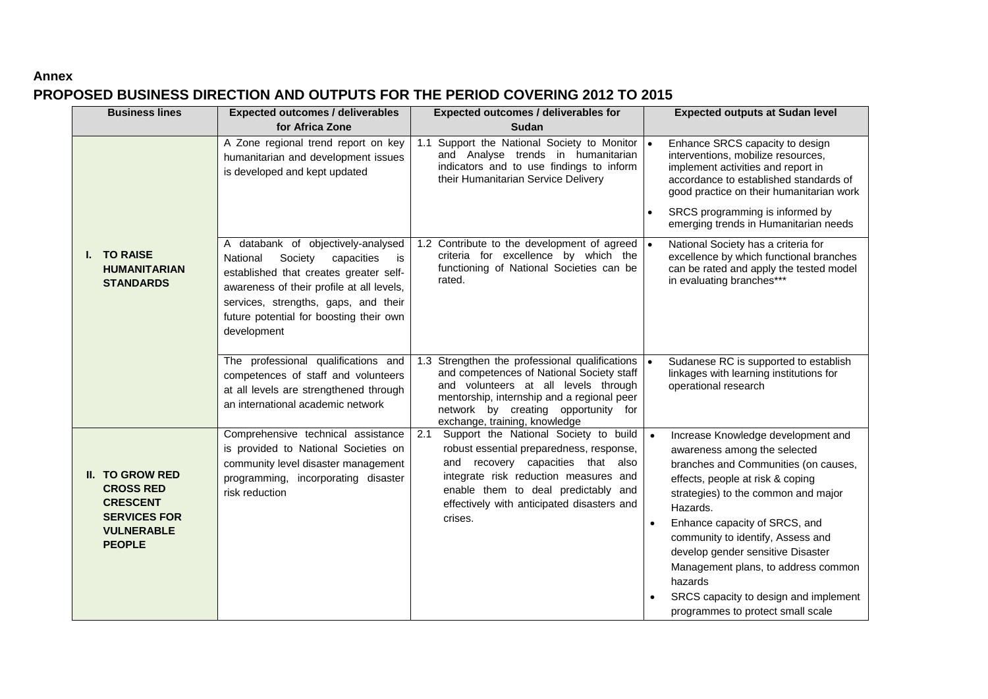#### **Annex**

### **PROPOSED BUSINESS DIRECTION AND OUTPUTS FOR THE PERIOD COVERING 2012 TO 2015**

| <b>Business lines</b>                                                                                                      | <b>Expected outcomes / deliverables</b>                                                                                                                                                                                                                                | <b>Expected outcomes / deliverables for</b>                                                                                                                                                                                                                            | <b>Expected outputs at Sudan level</b>                                                                                                                                                                                                                                                                                                                                                                                                       |  |
|----------------------------------------------------------------------------------------------------------------------------|------------------------------------------------------------------------------------------------------------------------------------------------------------------------------------------------------------------------------------------------------------------------|------------------------------------------------------------------------------------------------------------------------------------------------------------------------------------------------------------------------------------------------------------------------|----------------------------------------------------------------------------------------------------------------------------------------------------------------------------------------------------------------------------------------------------------------------------------------------------------------------------------------------------------------------------------------------------------------------------------------------|--|
|                                                                                                                            | for Africa Zone                                                                                                                                                                                                                                                        | <b>Sudan</b>                                                                                                                                                                                                                                                           |                                                                                                                                                                                                                                                                                                                                                                                                                                              |  |
|                                                                                                                            | A Zone regional trend report on key<br>humanitarian and development issues<br>is developed and kept updated                                                                                                                                                            | Support the National Society to Monitor  .<br>1.1<br>and Analyse trends in humanitarian<br>indicators and to use findings to inform<br>their Humanitarian Service Delivery                                                                                             | Enhance SRCS capacity to design<br>interventions, mobilize resources,<br>implement activities and report in<br>accordance to established standards of<br>good practice on their humanitarian work                                                                                                                                                                                                                                            |  |
|                                                                                                                            |                                                                                                                                                                                                                                                                        |                                                                                                                                                                                                                                                                        | SRCS programming is informed by<br>$\bullet$<br>emerging trends in Humanitarian needs                                                                                                                                                                                                                                                                                                                                                        |  |
| I. TO RAISE<br><b>HUMANITARIAN</b><br><b>STANDARDS</b>                                                                     | A databank of objectively-analysed<br>Society<br>capacities<br>National<br>is<br>established that creates greater self-<br>awareness of their profile at all levels,<br>services, strengths, gaps, and their<br>future potential for boosting their own<br>development | 1.2 Contribute to the development of agreed  .<br>criteria for excellence by which the<br>functioning of National Societies can be<br>rated.                                                                                                                           | National Society has a criteria for<br>excellence by which functional branches<br>can be rated and apply the tested model<br>in evaluating branches***                                                                                                                                                                                                                                                                                       |  |
|                                                                                                                            | The professional qualifications and<br>competences of staff and volunteers<br>at all levels are strengthened through<br>an international academic network                                                                                                              | Strengthen the professional qualifications   •<br>1.3<br>and competences of National Society staff<br>and volunteers at all levels through<br>mentorship, internship and a regional peer<br>network by creating opportunity for<br>exchange, training, knowledge       | Sudanese RC is supported to establish<br>linkages with learning institutions for<br>operational research                                                                                                                                                                                                                                                                                                                                     |  |
| <b>II. TO GROW RED</b><br><b>CROSS RED</b><br><b>CRESCENT</b><br><b>SERVICES FOR</b><br><b>VULNERABLE</b><br><b>PEOPLE</b> | Comprehensive technical assistance<br>is provided to National Societies on<br>community level disaster management<br>programming, incorporating disaster<br>risk reduction                                                                                             | Support the National Society to build<br>2.1<br>robust essential preparedness, response,<br>and recovery capacities that also<br>integrate risk reduction measures and<br>enable them to deal predictably and<br>effectively with anticipated disasters and<br>crises. | Increase Knowledge development and<br>awareness among the selected<br>branches and Communities (on causes,<br>effects, people at risk & coping<br>strategies) to the common and major<br>Hazards.<br>Enhance capacity of SRCS, and<br>community to identify, Assess and<br>develop gender sensitive Disaster<br>Management plans, to address common<br>hazards<br>SRCS capacity to design and implement<br>programmes to protect small scale |  |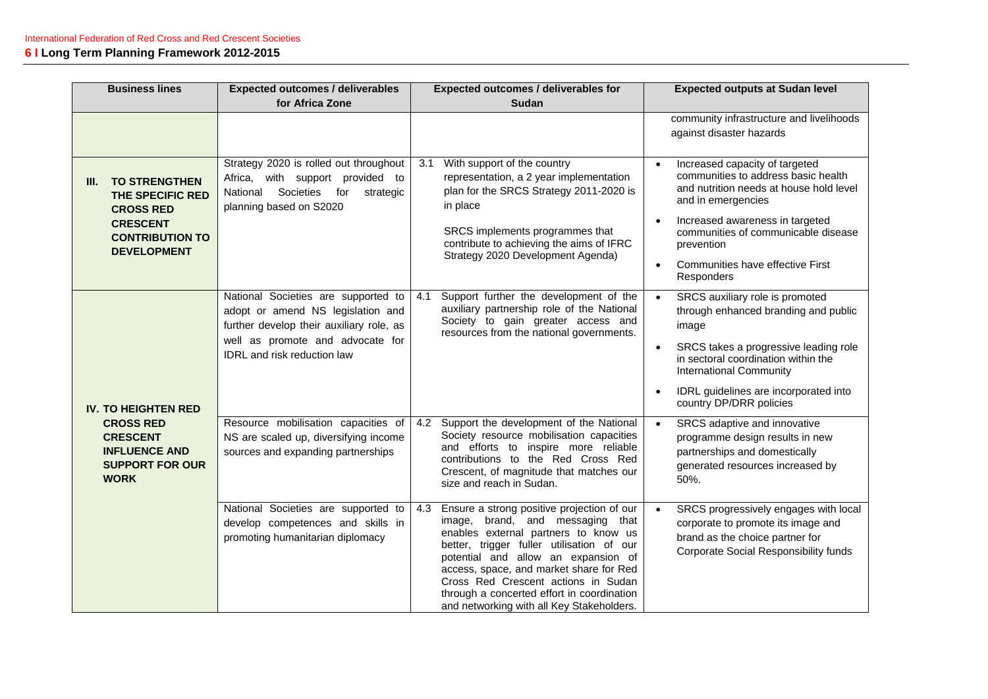| <b>Business lines</b>                                                                                                                   | <b>Expected outcomes / deliverables</b>                                                                                                                                                        | <b>Expected outcomes / deliverables for</b>                                                                                                                                                                                                                                                                                                                                                    | <b>Expected outputs at Sudan level</b>                                                                                                                                                                                                                                                  |
|-----------------------------------------------------------------------------------------------------------------------------------------|------------------------------------------------------------------------------------------------------------------------------------------------------------------------------------------------|------------------------------------------------------------------------------------------------------------------------------------------------------------------------------------------------------------------------------------------------------------------------------------------------------------------------------------------------------------------------------------------------|-----------------------------------------------------------------------------------------------------------------------------------------------------------------------------------------------------------------------------------------------------------------------------------------|
|                                                                                                                                         | for Africa Zone                                                                                                                                                                                | <b>Sudan</b>                                                                                                                                                                                                                                                                                                                                                                                   |                                                                                                                                                                                                                                                                                         |
|                                                                                                                                         |                                                                                                                                                                                                |                                                                                                                                                                                                                                                                                                                                                                                                | community infrastructure and livelihoods<br>against disaster hazards                                                                                                                                                                                                                    |
| <b>TO STRENGTHEN</b><br>III.<br>THE SPECIFIC RED<br><b>CROSS RED</b><br><b>CRESCENT</b><br><b>CONTRIBUTION TO</b><br><b>DEVELOPMENT</b> | Strategy 2020 is rolled out throughout<br>Africa, with support provided to<br>Societies<br>National<br>for<br>strategic<br>planning based on S2020                                             | With support of the country<br>3.1<br>representation, a 2 year implementation<br>plan for the SRCS Strategy 2011-2020 is<br>in place<br>SRCS implements programmes that<br>contribute to achieving the aims of IFRC<br>Strategy 2020 Development Agenda)                                                                                                                                       | Increased capacity of targeted<br>communities to address basic health<br>and nutrition needs at house hold level<br>and in emergencies<br>Increased awareness in targeted<br>communities of communicable disease<br>prevention<br>Communities have effective First<br><b>Responders</b> |
| <b>IV. TO HEIGHTEN RED</b>                                                                                                              | National Societies are supported to<br>adopt or amend NS legislation and<br>further develop their auxiliary role, as<br>well as promote and advocate for<br><b>IDRL</b> and risk reduction law | Support further the development of the<br>4.1<br>auxiliary partnership role of the National<br>Society to gain greater access and<br>resources from the national governments.                                                                                                                                                                                                                  | SRCS auxiliary role is promoted<br>through enhanced branding and public<br>image<br>SRCS takes a progressive leading role<br>in sectoral coordination within the<br><b>International Community</b><br>IDRL guidelines are incorporated into<br>country DP/DRR policies                  |
| <b>CROSS RED</b><br><b>CRESCENT</b><br><b>INFLUENCE AND</b><br><b>SUPPORT FOR OUR</b><br><b>WORK</b>                                    | Resource mobilisation capacities of<br>NS are scaled up, diversifying income<br>sources and expanding partnerships                                                                             | Support the development of the National<br>4.2<br>Society resource mobilisation capacities<br>and efforts to inspire more reliable<br>contributions to the Red Cross Red<br>Crescent, of magnitude that matches our<br>size and reach in Sudan.                                                                                                                                                | SRCS adaptive and innovative<br>programme design results in new<br>partnerships and domestically<br>generated resources increased by<br>50%.                                                                                                                                            |
|                                                                                                                                         | National Societies are supported to<br>develop competences and skills in<br>promoting humanitarian diplomacy                                                                                   | Ensure a strong positive projection of our<br>4.3<br>image, brand, and messaging that<br>enables external partners to know us<br>better, trigger fuller utilisation of our<br>potential and allow an expansion of<br>access, space, and market share for Red<br>Cross Red Crescent actions in Sudan<br>through a concerted effort in coordination<br>and networking with all Key Stakeholders. | SRCS progressively engages with local<br>corporate to promote its image and<br>brand as the choice partner for<br>Corporate Social Responsibility funds                                                                                                                                 |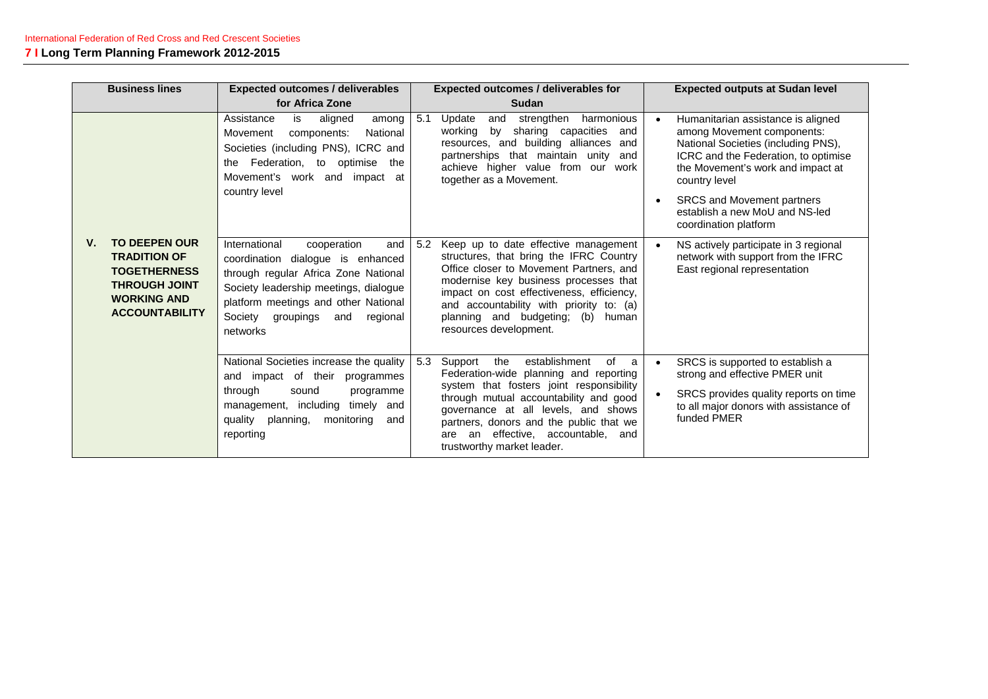| <b>Business lines</b><br><b>Expected outcomes / deliverables</b>                                                                                |                                                                                                                                                                                                                                                          |                                                                                                                                                                                                                                                                                                                                       | <b>Expected outcomes / deliverables for</b>                                                                                                                                                                                                                                                                                                   | <b>Expected outputs at Sudan level</b>                                                                                                                                                                                                                                                         |
|-------------------------------------------------------------------------------------------------------------------------------------------------|----------------------------------------------------------------------------------------------------------------------------------------------------------------------------------------------------------------------------------------------------------|---------------------------------------------------------------------------------------------------------------------------------------------------------------------------------------------------------------------------------------------------------------------------------------------------------------------------------------|-----------------------------------------------------------------------------------------------------------------------------------------------------------------------------------------------------------------------------------------------------------------------------------------------------------------------------------------------|------------------------------------------------------------------------------------------------------------------------------------------------------------------------------------------------------------------------------------------------------------------------------------------------|
|                                                                                                                                                 |                                                                                                                                                                                                                                                          | for Africa Zone                                                                                                                                                                                                                                                                                                                       | <b>Sudan</b>                                                                                                                                                                                                                                                                                                                                  |                                                                                                                                                                                                                                                                                                |
|                                                                                                                                                 |                                                                                                                                                                                                                                                          | Assistance<br>is<br>aligned<br>among<br>National<br>Movement<br>components:<br>Societies (including PNS), ICRC and<br>Federation, to optimise<br>the<br>the<br>Movement's work and impact at<br>country level                                                                                                                         | strengthen<br>5.1<br>Update<br>harmonious<br>and<br>working<br>by<br>sharing capacities<br>and<br>resources, and building alliances and<br>partnerships that maintain unity<br>and<br>achieve higher value from our work<br>together as a Movement.                                                                                           | Humanitarian assistance is aligned<br>among Movement components:<br>National Societies (including PNS),<br>ICRC and the Federation, to optimise<br>the Movement's work and impact at<br>country level<br>SRCS and Movement partners<br>establish a new MoU and NS-led<br>coordination platform |
| <b>TO DEEPEN OUR</b><br>V.<br><b>TRADITION OF</b><br><b>TOGETHERNESS</b><br><b>THROUGH JOINT</b><br><b>WORKING AND</b><br><b>ACCOUNTABILITY</b> | International<br>cooperation<br>and<br>coordination dialogue is enhanced<br>through regular Africa Zone National<br>Society leadership meetings, dialogue<br>platform meetings and other National<br>Society<br>regional<br>groupings<br>and<br>networks | 5.2<br>Keep up to date effective management<br>structures, that bring the IFRC Country<br>Office closer to Movement Partners, and<br>modernise key business processes that<br>impact on cost effectiveness, efficiency,<br>and accountability with priority to: (a)<br>planning and budgeting; (b)<br>human<br>resources development. | NS actively participate in 3 regional<br>network with support from the IFRC<br>East regional representation                                                                                                                                                                                                                                   |                                                                                                                                                                                                                                                                                                |
|                                                                                                                                                 | and<br>through<br>sound<br>reporting                                                                                                                                                                                                                     | National Societies increase the quality<br>impact of their programmes<br>programme<br>management, including<br>timely and<br>quality planning, monitoring<br>and                                                                                                                                                                      | establishment<br>5.3<br>Support<br>the<br>of<br>a<br>Federation-wide planning and reporting<br>system that fosters joint responsibility<br>through mutual accountability and good<br>governance at all levels, and shows<br>partners, donors and the public that we<br>an effective, accountable,<br>and<br>are<br>trustworthy market leader. | SRCS is supported to establish a<br>strong and effective PMER unit<br>SRCS provides quality reports on time<br>to all major donors with assistance of<br>funded PMER                                                                                                                           |